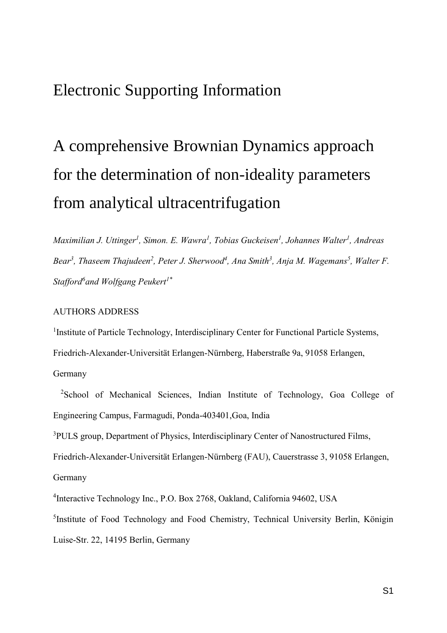# Electronic Supporting Information

# A comprehensive Brownian Dynamics approach for the determination of non-ideality parameters from analytical ultracentrifugation

*Maximilian J. Uttinger<sup>1</sup> , Simon. E. Wawra<sup>1</sup> , Tobias Guckeisen<sup>1</sup> , Johannes Walter<sup>1</sup> , Andreas Bear<sup>3</sup> , Thaseem Thajudeen<sup>2</sup> , Peter J. Sherwood<sup>4</sup> , Ana Smith<sup>3</sup> , Anja M. Wagemans<sup>5</sup> , Walter F. Stafford<sup>6</sup> and Wolfgang Peukert1\**

#### AUTHORS ADDRESS

<sup>1</sup> Institute of Particle Technology, Interdisciplinary Center for Functional Particle Systems, Friedrich-Alexander-Universität Erlangen-Nürnberg, Haberstraße 9a, 91058 Erlangen, Germany

<sup>2</sup>School of Mechanical Sciences, Indian Institute of Technology, Goa College of Engineering Campus, Farmagudi, Ponda-403401,Goa, India

<sup>3</sup>PULS group, Department of Physics, Interdisciplinary Center of Nanostructured Films,

Friedrich-Alexander-Universität Erlangen-Nürnberg (FAU), Cauerstrasse 3, 91058 Erlangen,

Germany

4 Interactive Technology Inc., P.O. Box 2768, Oakland, California 94602, USA

<sup>5</sup>Institute of Food Technology and Food Chemistry, Technical University Berlin, Königin Luise-Str. 22, 14195 Berlin, Germany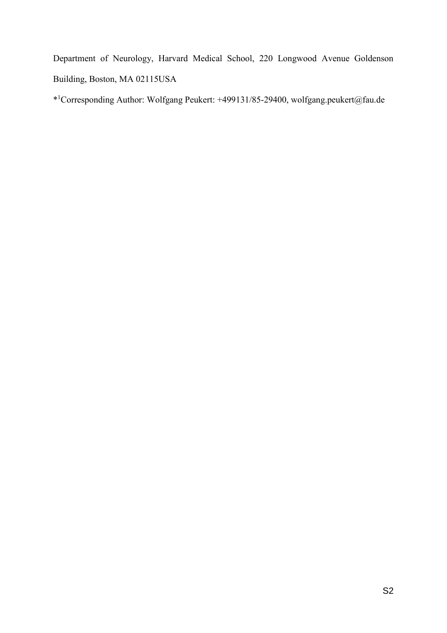Department of Neurology, Harvard Medical School, 220 Longwood Avenue Goldenson Building, Boston, MA 02115USA

\* <sup>1</sup>Corresponding Author: Wolfgang Peukert: +499131/85-29400, wolfgang.peukert@fau.de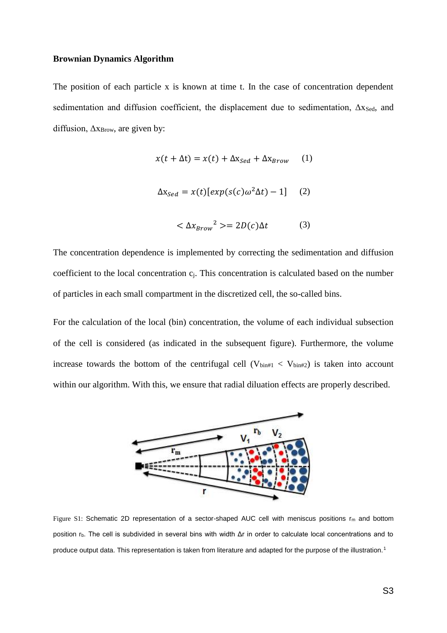#### **Brownian Dynamics Algorithm**

The position of each particle x is known at time t. In the case of concentration dependent sedimentation and diffusion coefficient, the displacement due to sedimentation,  $\Delta x_{\text{Sed}}$ , and diffusion,  $\Delta x_{\rm Brown}$ , are given by:

$$
x(t + \Delta t) = x(t) + \Delta x_{\text{Sed}} + \Delta x_{\text{Brown}} \tag{1}
$$

$$
\Delta x_{Sed} = x(t)[exp(s(c)\omega^2 \Delta t) - 1] \quad (2)
$$

$$
\langle \Delta x_{Brown}^{2} \rangle = 2D(c)\Delta t \tag{3}
$$

The concentration dependence is implemented by correcting the sedimentation and diffusion coefficient to the local concentration cj. This concentration is calculated based on the number of particles in each small compartment in the discretized cell, the so-called bins.

For the calculation of the local (bin) concentration, the volume of each individual subsection of the cell is considered (as indicated in the subsequent figure). Furthermore, the volume increase towards the bottom of the centrifugal cell ( $V_{\text{bin#1}} < V_{\text{bin#2}}$ ) is taken into account within our algorithm. With this, we ensure that radial diluation effects are properly described.



Figure S1: Schematic 2D representation of a sector-shaped AUC cell with meniscus positions  $r_m$  and bottom position rb. The cell is subdivided in several bins with width Δr in order to calculate local concentrations and to produce output data. This representation is taken from literature and adapted for the purpose of the illustration.<sup>1</sup>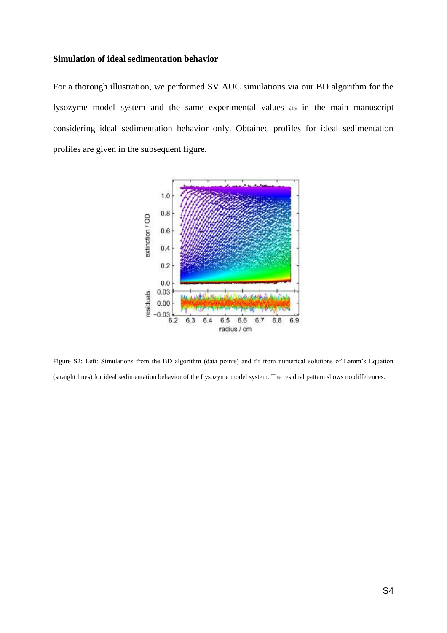#### **Simulation of ideal sedimentation behavior**

For a thorough illustration, we performed SV AUC simulations via our BD algorithm for the lysozyme model system and the same experimental values as in the main manuscript considering ideal sedimentation behavior only. Obtained profiles for ideal sedimentation profiles are given in the subsequent figure.



Figure S2: Left: Simulations from the BD algorithm (data points) and fit from numerical solutions of Lamm's Equation (straight lines) for ideal sedimentation behavior of the Lysozyme model system. The residual pattern shows no differences.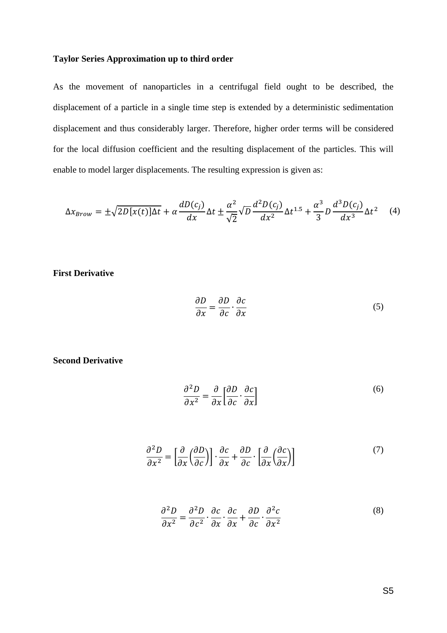#### **Taylor Series Approximation up to third order**

As the movement of nanoparticles in a centrifugal field ought to be described, the displacement of a particle in a single time step is extended by a deterministic sedimentation displacement and thus considerably larger. Therefore, higher order terms will be considered for the local diffusion coefficient and the resulting displacement of the particles. This will enable to model larger displacements. The resulting expression is given as:

$$
\Delta x_{Brown} = \pm \sqrt{2D[x(t)]\Delta t} + \alpha \frac{dD(c_j)}{dx} \Delta t \pm \frac{\alpha^2}{\sqrt{2}} \sqrt{D} \frac{d^2D(c_j)}{dx^2} \Delta t^{1.5} + \frac{\alpha^3}{3} D \frac{d^3D(c_j)}{dx^3} \Delta t^2 \tag{4}
$$

#### **First Derivative**

$$
\frac{\partial D}{\partial x} = \frac{\partial D}{\partial c} \cdot \frac{\partial c}{\partial x} \tag{5}
$$

#### **Second Derivative**

$$
\frac{\partial^2 D}{\partial x^2} = \frac{\partial}{\partial x} \left[ \frac{\partial D}{\partial c} \cdot \frac{\partial c}{\partial x} \right]
$$
 (6)

$$
\frac{\partial^2 D}{\partial x^2} = \left[\frac{\partial}{\partial x} \left(\frac{\partial D}{\partial c}\right)\right] \cdot \frac{\partial c}{\partial x} + \frac{\partial D}{\partial c} \cdot \left[\frac{\partial}{\partial x} \left(\frac{\partial c}{\partial x}\right)\right] \tag{7}
$$

$$
\frac{\partial^2 D}{\partial x^2} = \frac{\partial^2 D}{\partial c^2} \cdot \frac{\partial c}{\partial x} \cdot \frac{\partial c}{\partial x} + \frac{\partial D}{\partial c} \cdot \frac{\partial^2 c}{\partial x^2}
$$
(8)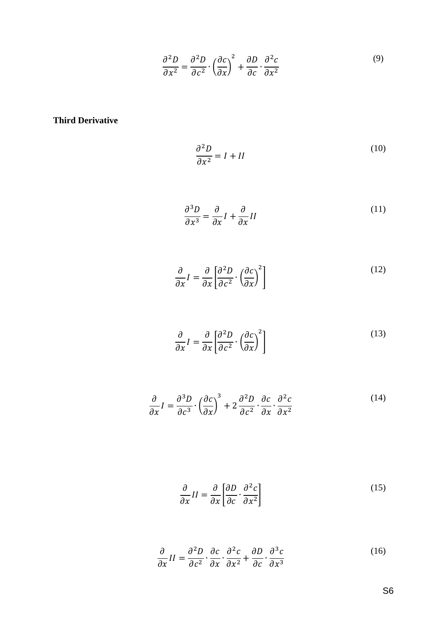$$
\frac{\partial^2 D}{\partial x^2} = \frac{\partial^2 D}{\partial c^2} \cdot \left(\frac{\partial c}{\partial x}\right)^2 + \frac{\partial D}{\partial c} \cdot \frac{\partial^2 c}{\partial x^2}
$$
(9)

**Third Derivative**

$$
\frac{\partial^2 D}{\partial x^2} = I + II
$$
 (10)

$$
\frac{\partial^3 D}{\partial x^3} = \frac{\partial}{\partial x} I + \frac{\partial}{\partial x} II
$$
\n(11)

$$
\frac{\partial}{\partial x}I = \frac{\partial}{\partial x} \left[ \frac{\partial^2 D}{\partial c^2} \cdot \left( \frac{\partial c}{\partial x} \right)^2 \right]
$$
(12)

$$
\frac{\partial}{\partial x}I = \frac{\partial}{\partial x} \left[ \frac{\partial^2 D}{\partial c^2} \cdot \left( \frac{\partial c}{\partial x} \right)^2 \right]
$$
(13)

$$
\frac{\partial}{\partial x}I = \frac{\partial^3 D}{\partial c^3} \cdot \left(\frac{\partial c}{\partial x}\right)^3 + 2\frac{\partial^2 D}{\partial c^2} \cdot \frac{\partial c}{\partial x} \cdot \frac{\partial^2 c}{\partial x^2}
$$
(14)

$$
\frac{\partial}{\partial x}II = \frac{\partial}{\partial x} \left[ \frac{\partial D}{\partial c} \cdot \frac{\partial^2 c}{\partial x^2} \right]
$$
(15)

$$
\frac{\partial}{\partial x}II = \frac{\partial^2 D}{\partial c^2} \cdot \frac{\partial c}{\partial x} \cdot \frac{\partial^2 c}{\partial x^2} + \frac{\partial D}{\partial c} \cdot \frac{\partial^3 c}{\partial x^3}
$$
(16)

S6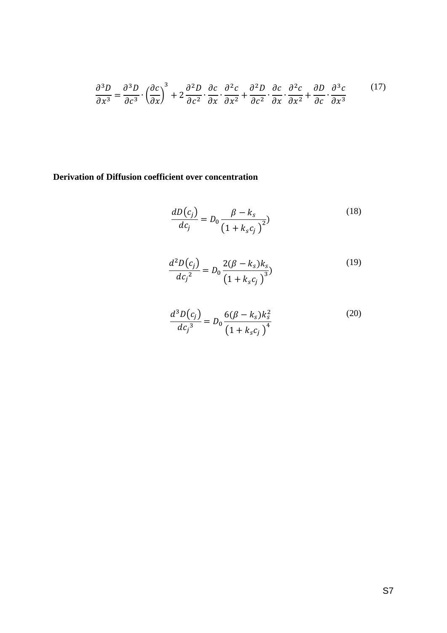$$
\frac{\partial^3 D}{\partial x^3} = \frac{\partial^3 D}{\partial c^3} \cdot \left(\frac{\partial c}{\partial x}\right)^3 + 2\frac{\partial^2 D}{\partial c^2} \cdot \frac{\partial c}{\partial x} \cdot \frac{\partial^2 c}{\partial x^2} + \frac{\partial^2 D}{\partial c^2} \cdot \frac{\partial c}{\partial x} \cdot \frac{\partial^2 c}{\partial x^2} + \frac{\partial D}{\partial c} \cdot \frac{\partial^3 c}{\partial x^3}
$$
(17)

## **Derivation of Diffusion coefficient over concentration**

$$
\frac{dD(c_j)}{dc_j} = D_0 \frac{\beta - k_s}{(1 + k_s c_j)^2})
$$
\n(18)

$$
\frac{d^2D(c_j)}{dc_j^2} = D_0 \frac{2(\beta - k_s)k_s}{(1 + k_s c_j)^3} \tag{19}
$$

$$
\frac{d^3 D(c_j)}{dc_j^3} = D_0 \frac{6(\beta - k_s)k_s^2}{(1 + k_s c_j)^4}
$$
 (20)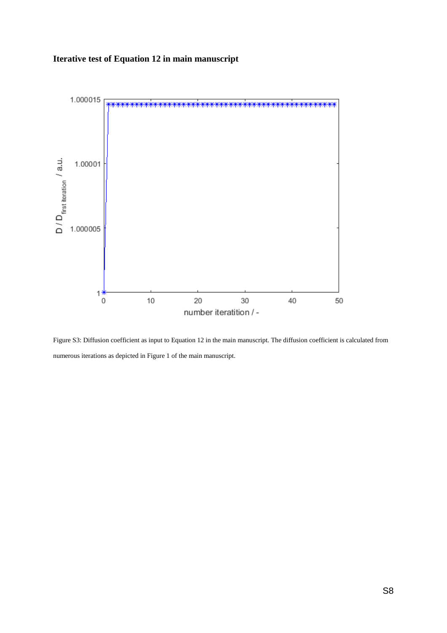## **Iterative test of Equation 12 in main manuscript**



Figure S3: Diffusion coefficient as input to Equation 12 in the main manuscript. The diffusion coefficient is calculated from numerous iterations as depicted in Figure 1 of the main manuscript.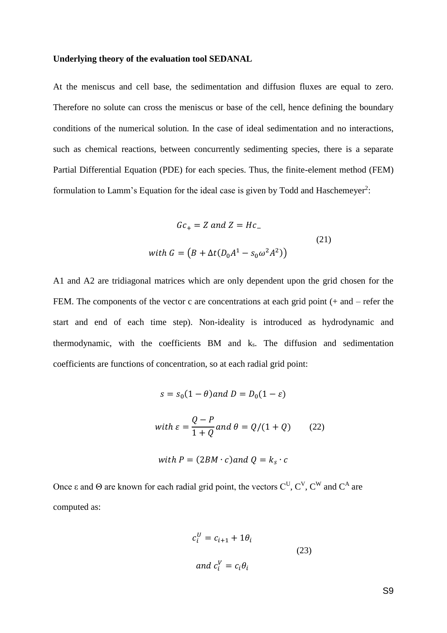#### **Underlying theory of the evaluation tool SEDANAL**

At the meniscus and cell base, the sedimentation and diffusion fluxes are equal to zero. Therefore no solute can cross the meniscus or base of the cell, hence defining the boundary conditions of the numerical solution. In the case of ideal sedimentation and no interactions, such as chemical reactions, between concurrently sedimenting species, there is a separate Partial Differential Equation (PDE) for each species. Thus, the finite-element method (FEM) formulation to Lamm's Equation for the ideal case is given by Todd and Haschemeyer<sup>2</sup>:

$$
Gc_{+} = Z \text{ and } Z = Hc_{-}
$$
  
\nwith 
$$
G = (B + \Delta t (D_0 A^1 - s_0 \omega^2 A^2))
$$
\n(21)

A1 and A2 are tridiagonal matrices which are only dependent upon the grid chosen for the FEM. The components of the vector c are concentrations at each grid point (+ and – refer the start and end of each time step). Non-ideality is introduced as hydrodynamic and thermodynamic, with the coefficients BM and ks. The diffusion and sedimentation coefficients are functions of concentration, so at each radial grid point:

$$
s = s_0(1 - \theta) \text{ and } D = D_0(1 - \varepsilon)
$$

with 
$$
\varepsilon = \frac{Q - P}{1 + Q}
$$
 and  $\theta = Q/(1 + Q)$  (22)

with 
$$
P = (2BM \cdot c)
$$
 and  $Q = k_s \cdot c$ 

Once ε and Θ are known for each radial grid point, the vectors  $C^U$ ,  $C^V$ ,  $C^W$  and  $C^A$  are computed as:

$$
c_i^U = c_{i+1} + 1\theta_i
$$
  
\nand 
$$
c_i^V = c_i \theta_i
$$
\n(23)

S9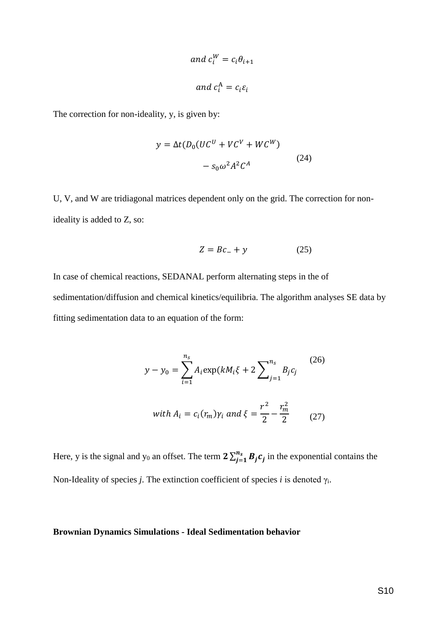and 
$$
c_i^W = c_i \theta_{i+1}
$$
  
and  $c_i^A = c_i \varepsilon_i$ 

The correction for non-ideality, y, is given by:

$$
y = \Delta t (D_0 (UC^U + VC^V + WC^W)
$$

$$
- s_0 \omega^2 A^2 C^A
$$
 (24)

U, V, and W are tridiagonal matrices dependent only on the grid. The correction for nonideality is added to Z, so:

$$
Z = Bc_- + y \tag{25}
$$

In case of chemical reactions, SEDANAL perform alternating steps in the of sedimentation/diffusion and chemical kinetics/equilibria. The algorithm analyses SE data by fitting sedimentation data to an equation of the form:

$$
y - y_0 = \sum_{i=1}^{n_s} A_i \exp(kM_i \xi + 2 \sum_{j=1}^{n_s} B_j c_j
$$
 (26)  
with  $A_i = c_i(r_m) \gamma_i$  and  $\xi = \frac{r^2}{2} - \frac{r_m^2}{2}$  (27)

Here, y is the signal and y<sub>0</sub> an offset. The term  $2\sum_{i=1}^{n_s} B_i c_i$  $\int_{j=1}^{n_s} B_j c_j$  in the exponential contains the Non-Ideality of species *j*. The extinction coefficient of species *i* is denoted  $\gamma$ <sub>i</sub>.

#### **Brownian Dynamics Simulations - Ideal Sedimentation behavior**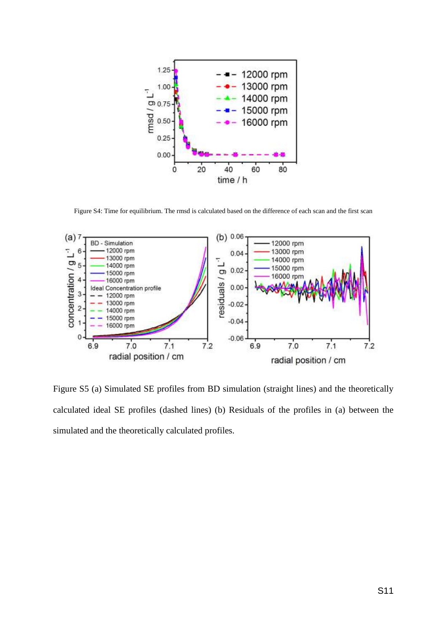

Figure S4: Time for equilibrium. The rmsd is calculated based on the difference of each scan and the first scan



Figure S5 (a) Simulated SE profiles from BD simulation (straight lines) and the theoretically calculated ideal SE profiles (dashed lines) (b) Residuals of the profiles in (a) between the simulated and the theoretically calculated profiles.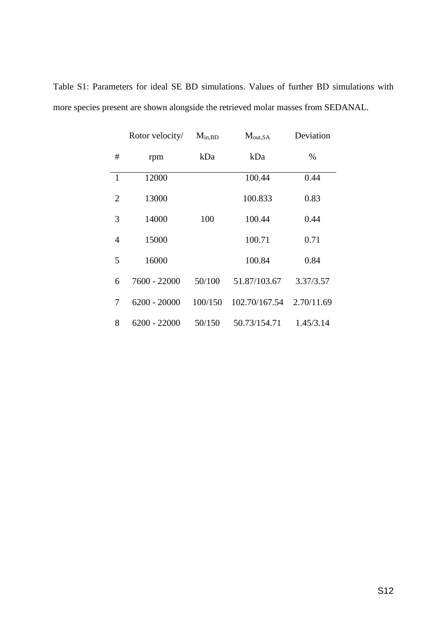|              | Rotor velocity/ | $M_{in,BD}$ | $M_{out,SA}$  | Deviation  |
|--------------|-----------------|-------------|---------------|------------|
| #            | rpm             | kDa         | kDa           | %          |
| $\mathbf{1}$ | 12000           |             | 100.44        | 0.44       |
| 2            | 13000           |             | 100.833       | 0.83       |
| 3            | 14000           | 100         | 100.44        | 0.44       |
| 4            | 15000           |             | 100.71        | 0.71       |
| 5            | 16000           |             | 100.84        | 0.84       |
| 6            | 7600 - 22000    | 50/100      | 51.87/103.67  | 3.37/3.57  |
| 7            | $6200 - 20000$  | 100/150     | 102.70/167.54 | 2.70/11.69 |
| 8            | 6200 - 22000    | 50/150      | 50.73/154.71  | 1.45/3.14  |

Table S1: Parameters for ideal SE BD simulations. Values of further BD simulations with more species present are shown alongside the retrieved molar masses from SEDANAL.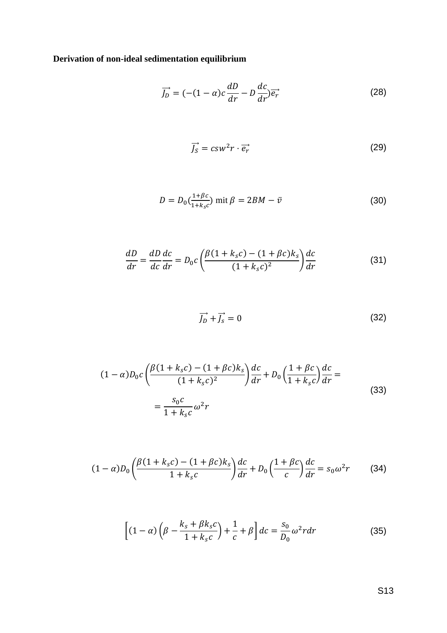**Derivation of non-ideal sedimentation equilibrium**

$$
\overrightarrow{J_D} = (-(1-\alpha)c\frac{dD}{dr} - D\frac{dc}{dr})\overrightarrow{e_r}
$$
 (28)

$$
\vec{J_S} = c s w^2 r \cdot \vec{e_r} \tag{29}
$$

$$
D = D_0 \left( \frac{1 + \beta c}{1 + k_s c} \right) \text{ mit } \beta = 2BM - \bar{v}
$$
 (30)

$$
\frac{dD}{dr} = \frac{dD}{dc}\frac{dc}{dr} = D_0c\left(\frac{\beta(1 + k_s c) - (1 + \beta c)k_s}{(1 + k_s c)^2}\right)\frac{dc}{dr}
$$
(31)

$$
\overrightarrow{J_D} + \overrightarrow{J_S} = 0 \tag{32}
$$

$$
(1 - \alpha)D_0 c \left( \frac{\beta (1 + k_s c) - (1 + \beta c) k_s}{(1 + k_s c)^2} \right) \frac{dc}{dr} + D_0 \left( \frac{1 + \beta c}{1 + k_s c} \right) \frac{dc}{dr} =
$$
  

$$
= \frac{s_0 c}{1 + k_s c} \omega^2 r
$$
 (33)

$$
(1 - \alpha)D_0 \left(\frac{\beta(1 + k_s c) - (1 + \beta c)k_s}{1 + k_s c}\right) \frac{dc}{dr} + D_0 \left(\frac{1 + \beta c}{c}\right) \frac{dc}{dr} = s_0 \omega^2 r \tag{34}
$$

$$
\left[ (1 - \alpha) \left( \beta - \frac{k_s + \beta k_s c}{1 + k_s c} \right) + \frac{1}{c} + \beta \right] dc = \frac{s_0}{D_0} \omega^2 r dr \tag{35}
$$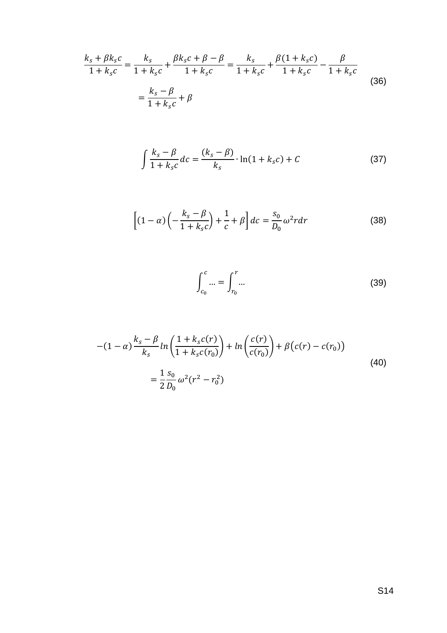$$
\frac{k_s + \beta k_s c}{1 + k_s c} = \frac{k_s}{1 + k_s c} + \frac{\beta k_s c + \beta - \beta}{1 + k_s c} = \frac{k_s}{1 + k_s c} + \frac{\beta (1 + k_s c)}{1 + k_s c} - \frac{\beta}{1 + k_s c}
$$
\n
$$
= \frac{k_s - \beta}{1 + k_s c} + \beta
$$
\n(36)

$$
\int \frac{k_s - \beta}{1 + k_s c} dc = \frac{(k_s - \beta)}{k_s} \cdot \ln(1 + k_s c) + C \tag{37}
$$

$$
\left[ (1 - \alpha) \left( -\frac{k_s - \beta}{1 + k_s c} \right) + \frac{1}{c} + \beta \right] dc = \frac{s_0}{D_0} \omega^2 r dr \tag{38}
$$

$$
\int_{c_0}^{c} ... = \int_{r_0}^{r} ... \tag{39}
$$

$$
-(1 - \alpha) \frac{k_s - \beta}{k_s} ln\left(\frac{1 + k_s c(r)}{1 + k_s c(r_0)}\right) + ln\left(\frac{c(r)}{c(r_0)}\right) + \beta(c(r) - c(r_0))
$$
  
= 
$$
\frac{1}{2} \frac{s_0}{D_0} \omega^2 (r^2 - r_0^2)
$$
 (40)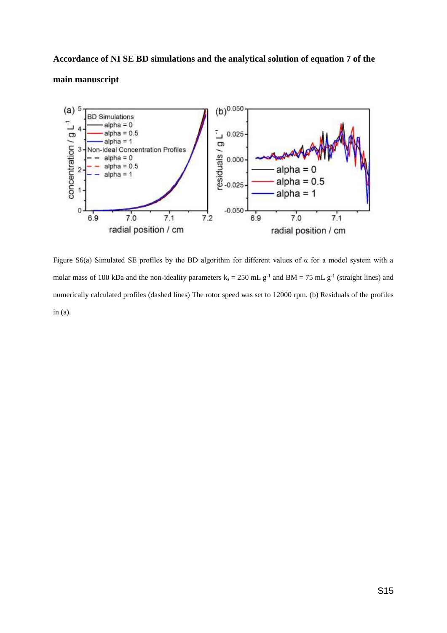# **Accordance of NI SE BD simulations and the analytical solution of equation 7 of the main manuscript**



Figure S6(a) Simulated SE profiles by the BD algorithm for different values of  $\alpha$  for a model system with a molar mass of 100 kDa and the non-ideality parameters  $k_s = 250$  mL  $g^{-1}$  and BM = 75 mL  $g^{-1}$  (straight lines) and numerically calculated profiles (dashed lines) The rotor speed was set to 12000 rpm. (b) Residuals of the profiles in (a).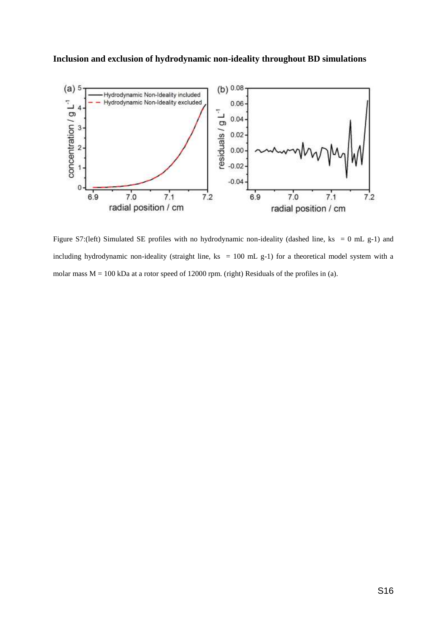#### **Inclusion and exclusion of hydrodynamic non-ideality throughout BD simulations**



Figure S7:(left) Simulated SE profiles with no hydrodynamic non-ideality (dashed line, ks = 0 mL g-1) and including hydrodynamic non-ideality (straight line, ks = 100 mL g-1) for a theoretical model system with a molar mass  $M = 100$  kDa at a rotor speed of 12000 rpm. (right) Residuals of the profiles in (a).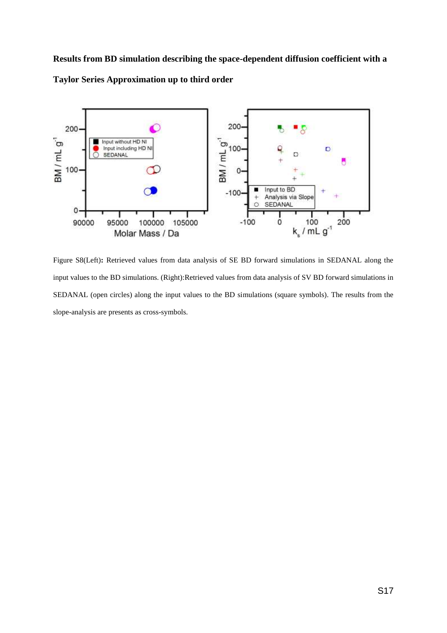**Results from BD simulation describing the space-dependent diffusion coefficient with a Taylor Series Approximation up to third order**



Figure S8(Left)**:** Retrieved values from data analysis of SE BD forward simulations in SEDANAL along the input values to the BD simulations. (Right):Retrieved values from data analysis of SV BD forward simulations in SEDANAL (open circles) along the input values to the BD simulations (square symbols). The results from the slope-analysis are presents as cross-symbols.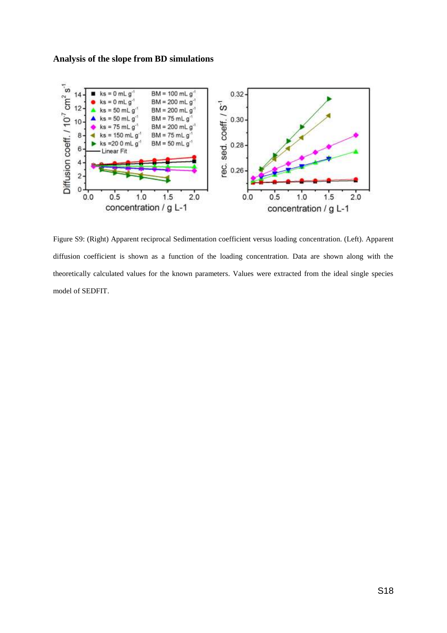#### **Analysis of the slope from BD simulations**



Figure S9: (Right) Apparent reciprocal Sedimentation coefficient versus loading concentration. (Left). Apparent diffusion coefficient is shown as a function of the loading concentration. Data are shown along with the theoretically calculated values for the known parameters. Values were extracted from the ideal single species model of SEDFIT.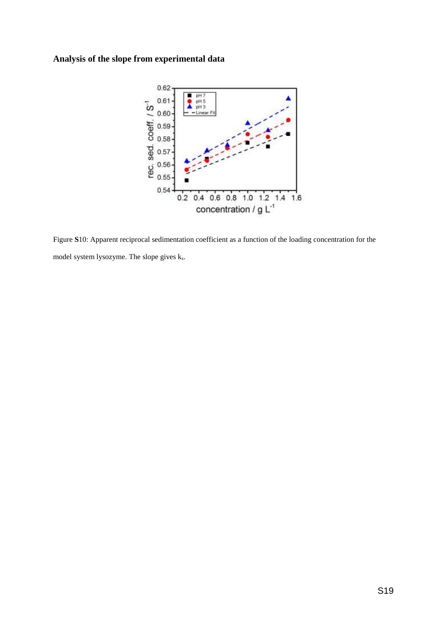## **Analysis of the slope from experimental data**



Figure **S**10: Apparent reciprocal sedimentation coefficient as a function of the loading concentration for the model system lysozyme. The slope gives ks.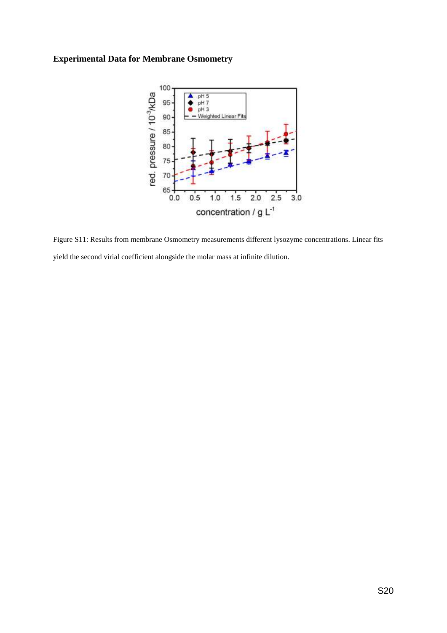## **Experimental Data for Membrane Osmometry**



Figure S11: Results from membrane Osmometry measurements different lysozyme concentrations. Linear fits yield the second virial coefficient alongside the molar mass at infinite dilution.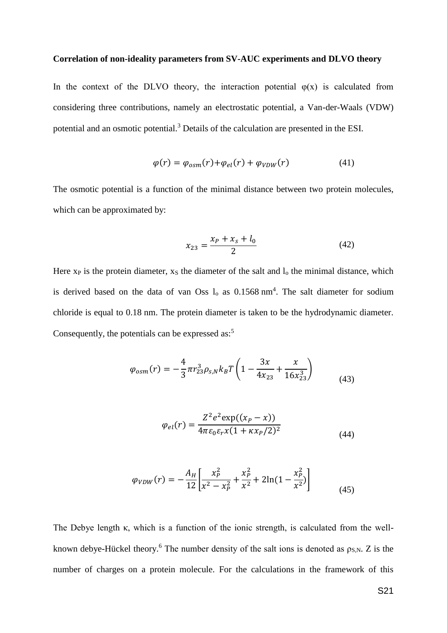#### **Correlation of non-ideality parameters from SV-AUC experiments and DLVO theory**

In the context of the DLVO theory, the interaction potential  $\varphi(x)$  is calculated from considering three contributions, namely an electrostatic potential, a Van-der-Waals (VDW) potential and an osmotic potential.<sup>3</sup> Details of the calculation are presented in the ESI.

$$
\varphi(r) = \varphi_{osm}(r) + \varphi_{el}(r) + \varphi_{VDW}(r) \tag{41}
$$

The osmotic potential is a function of the minimal distance between two protein molecules, which can be approximated by:

$$
x_{23} = \frac{x_P + x_S + l_0}{2} \tag{42}
$$

Here  $x_P$  is the protein diameter,  $x_S$  the diameter of the salt and  $l_0$  the minimal distance, which is derived based on the data of van Oss  $l_0$  as 0.1568 nm<sup>4</sup>. The salt diameter for sodium chloride is equal to 0.18 nm. The protein diameter is taken to be the hydrodynamic diameter. Consequently, the potentials can be expressed as: $5$ 

$$
\varphi_{osm}(r) = -\frac{4}{3}\pi r_{23}^3 \rho_{s,N} k_B T \left( 1 - \frac{3x}{4x_{23}} + \frac{x}{16x_{23}^3} \right) \tag{43}
$$

$$
\varphi_{el}(r) = \frac{Z^2 e^2 \exp((x_P - x))}{4\pi \varepsilon_0 \varepsilon_r x (1 + \kappa x_P/2)^2}
$$
(44)

$$
\varphi_{VDW}(r) = -\frac{A_H}{12} \left[ \frac{x_P^2}{x^2 - x_P^2} + \frac{x_P^2}{x^2} + 2\ln(1 - \frac{x_P^2}{x^2}) \right]
$$
(45)

The Debye length  $\kappa$ , which is a function of the ionic strength, is calculated from the wellknown debye-Hückel theory.<sup>6</sup> The number density of the salt ions is denoted as  $\rho_{S,N}$ . Z is the number of charges on a protein molecule. For the calculations in the framework of this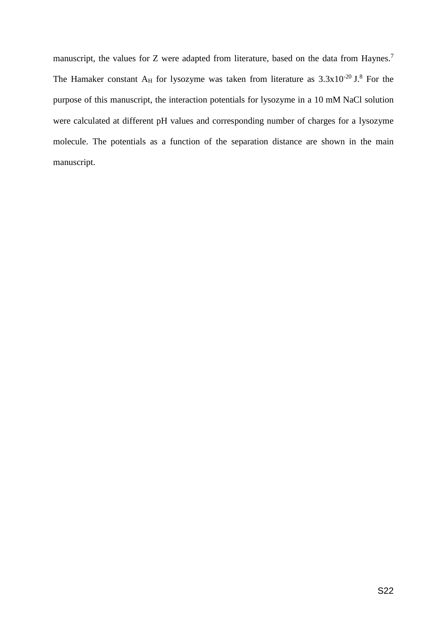manuscript, the values for Z were adapted from literature, based on the data from Haynes.<sup>7</sup> The Hamaker constant A<sub>H</sub> for lysozyme was taken from literature as  $3.3x10^{-20}$  J.<sup>8</sup> For the purpose of this manuscript, the interaction potentials for lysozyme in a 10 mM NaCl solution were calculated at different pH values and corresponding number of charges for a lysozyme molecule. The potentials as a function of the separation distance are shown in the main manuscript.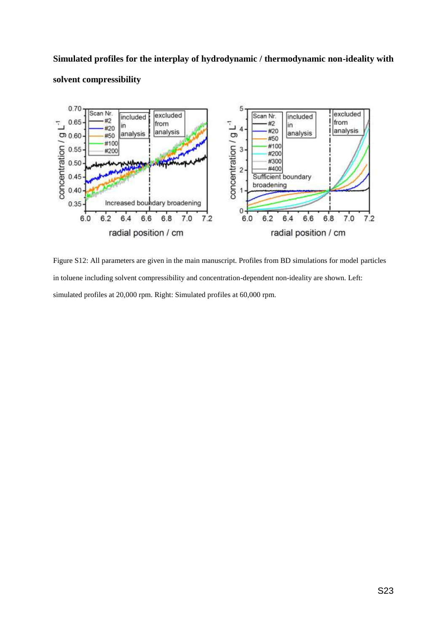# **Simulated profiles for the interplay of hydrodynamic / thermodynamic non-ideality with solvent compressibility**



Figure S12: All parameters are given in the main manuscript. Profiles from BD simulations for model particles in toluene including solvent compressibility and concentration-dependent non-ideality are shown. Left: simulated profiles at 20,000 rpm. Right: Simulated profiles at 60,000 rpm.